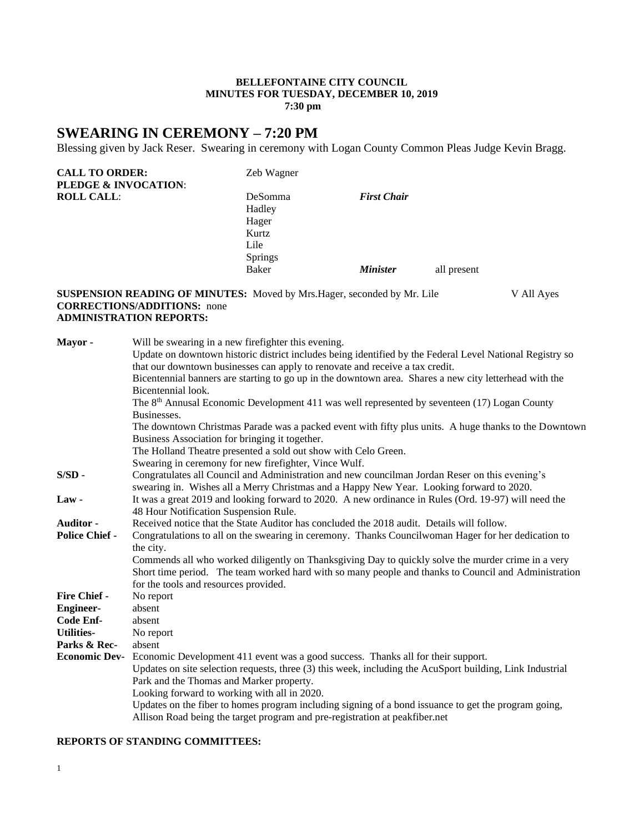#### **BELLEFONTAINE CITY COUNCIL MINUTES FOR TUESDAY, DECEMBER 10, 2019 7:30 pm**

# **SWEARING IN CEREMONY – 7:20 PM**

Blessing given by Jack Reser. Swearing in ceremony with Logan County Common Pleas Judge Kevin Bragg.

| <b>CALL TO ORDER:</b> | Zeb Wagner     |                        |             |  |
|-----------------------|----------------|------------------------|-------------|--|
| PLEDGE & INVOCATION:  |                |                        |             |  |
| <b>ROLL CALL:</b>     | DeSomma        | <b>First Chair</b>     |             |  |
|                       | Hadley         |                        |             |  |
|                       | Hager          |                        |             |  |
|                       | Kurtz          |                        |             |  |
|                       | Lile           |                        |             |  |
|                       |                |                        |             |  |
|                       | Baker          | <i><b>Minister</b></i> |             |  |
|                       |                |                        |             |  |
|                       | <b>Springs</b> |                        | all present |  |

### **SUSPENSION READING OF MINUTES:** Moved by Mrs.Hager, seconded by Mr. Lile V All Ayes **CORRECTIONS/ADDITIONS:** none **ADMINISTRATION REPORTS:**

| Mayor-                | Will be swearing in a new firefighter this evening.                                                                                                                                        |
|-----------------------|--------------------------------------------------------------------------------------------------------------------------------------------------------------------------------------------|
|                       | Update on downtown historic district includes being identified by the Federal Level National Registry so                                                                                   |
|                       | that our downtown businesses can apply to renovate and receive a tax credit.                                                                                                               |
|                       | Bicentennial banners are starting to go up in the downtown area. Shares a new city letterhead with the                                                                                     |
|                       | Bicentennial look.                                                                                                                                                                         |
|                       | The 8 <sup>th</sup> Annusal Economic Development 411 was well represented by seventeen (17) Logan County                                                                                   |
|                       | Businesses.                                                                                                                                                                                |
|                       | The downtown Christmas Parade was a packed event with fifty plus units. A huge thanks to the Downtown                                                                                      |
|                       | Business Association for bringing it together.                                                                                                                                             |
|                       | The Holland Theatre presented a sold out show with Celo Green.                                                                                                                             |
|                       | Swearing in ceremony for new firefighter, Vince Wulf.                                                                                                                                      |
| $S/SD$ -              | Congratulates all Council and Administration and new councilman Jordan Reser on this evening's<br>swearing in. Wishes all a Merry Christmas and a Happy New Year. Looking forward to 2020. |
| $Law -$               | It was a great 2019 and looking forward to 2020. A new ordinance in Rules (Ord. 19-97) will need the<br>48 Hour Notification Suspension Rule.                                              |
| Auditor -             | Received notice that the State Auditor has concluded the 2018 audit. Details will follow.                                                                                                  |
| <b>Police Chief -</b> | Congratulations to all on the swearing in ceremony. Thanks Councilwoman Hager for her dedication to                                                                                        |
|                       | the city.                                                                                                                                                                                  |
|                       | Commends all who worked diligently on Thanksgiving Day to quickly solve the murder crime in a very                                                                                         |
|                       | Short time period. The team worked hard with so many people and thanks to Council and Administration                                                                                       |
|                       | for the tools and resources provided.                                                                                                                                                      |
| Fire Chief -          | No report                                                                                                                                                                                  |
| <b>Engineer-</b>      | absent                                                                                                                                                                                     |
| Code Enf-             | absent                                                                                                                                                                                     |
| <b>Utilities-</b>     | No report                                                                                                                                                                                  |
| Parks & Rec-          | absent                                                                                                                                                                                     |
| <b>Economic Dev-</b>  | Economic Development 411 event was a good success. Thanks all for their support.                                                                                                           |
|                       | Updates on site selection requests, three (3) this week, including the AcuSport building, Link Industrial                                                                                  |
|                       | Park and the Thomas and Marker property.                                                                                                                                                   |
|                       | Looking forward to working with all in 2020.                                                                                                                                               |
|                       | Updates on the fiber to homes program including signing of a bond issuance to get the program going,                                                                                       |
|                       | Allison Road being the target program and pre-registration at peakfiber.net                                                                                                                |

#### **REPORTS OF STANDING COMMITTEES:**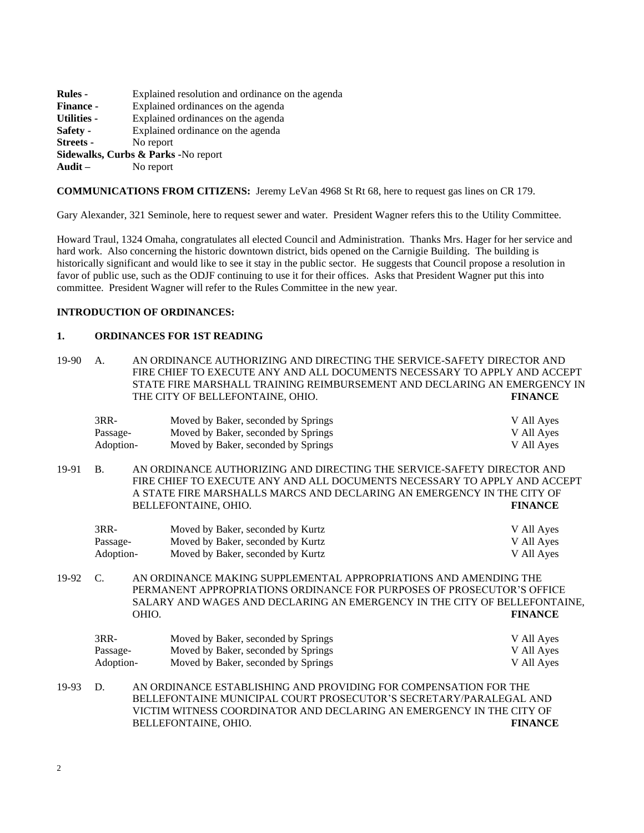| Rules -                             | Explained resolution and ordinance on the agenda |  |  |
|-------------------------------------|--------------------------------------------------|--|--|
| <b>Finance -</b>                    | Explained ordinances on the agenda               |  |  |
| Utilities -                         | Explained ordinances on the agenda               |  |  |
| Safety -                            | Explained ordinance on the agenda                |  |  |
| Streets -                           | No report                                        |  |  |
| Sidewalks, Curbs & Parks -No report |                                                  |  |  |
| Audit $-$                           | No report                                        |  |  |
|                                     |                                                  |  |  |

**COMMUNICATIONS FROM CITIZENS:** Jeremy LeVan 4968 St Rt 68, here to request gas lines on CR 179.

Gary Alexander, 321 Seminole, here to request sewer and water. President Wagner refers this to the Utility Committee.

Howard Traul, 1324 Omaha, congratulates all elected Council and Administration. Thanks Mrs. Hager for her service and hard work. Also concerning the historic downtown district, bids opened on the Carnigie Building. The building is historically significant and would like to see it stay in the public sector. He suggests that Council propose a resolution in favor of public use, such as the ODJF continuing to use it for their offices. Asks that President Wagner put this into committee. President Wagner will refer to the Rules Committee in the new year.

## **INTRODUCTION OF ORDINANCES:**

#### **1. ORDINANCES FOR 1ST READING**

19-90 A. AN ORDINANCE AUTHORIZING AND DIRECTING THE SERVICE-SAFETY DIRECTOR AND FIRE CHIEF TO EXECUTE ANY AND ALL DOCUMENTS NECESSARY TO APPLY AND ACCEPT STATE FIRE MARSHALL TRAINING REIMBURSEMENT AND DECLARING AN EMERGENCY IN THE CITY OF BELLEFONTAINE, OHIO. **FINANCE**

| $3RR-$    | Moved by Baker, seconded by Springs | V All Ayes |
|-----------|-------------------------------------|------------|
| Passage-  | Moved by Baker, seconded by Springs | V All Ayes |
| Adoption- | Moved by Baker, seconded by Springs | V All Ayes |

19-91 B. AN ORDINANCE AUTHORIZING AND DIRECTING THE SERVICE-SAFETY DIRECTOR AND FIRE CHIEF TO EXECUTE ANY AND ALL DOCUMENTS NECESSARY TO APPLY AND ACCEPT A STATE FIRE MARSHALLS MARCS AND DECLARING AN EMERGENCY IN THE CITY OF BELLEFONTAINE, OHIO. **FINANCE**

| 3RR-      | Moved by Baker, seconded by Kurtz | V All Ayes |
|-----------|-----------------------------------|------------|
| Passage-  | Moved by Baker, seconded by Kurtz | V All Ayes |
| Adoption- | Moved by Baker, seconded by Kurtz | V All Ayes |

19-92 C. AN ORDINANCE MAKING SUPPLEMENTAL APPROPRIATIONS AND AMENDING THE PERMANENT APPROPRIATIONS ORDINANCE FOR PURPOSES OF PROSECUTOR'S OFFICE SALARY AND WAGES AND DECLARING AN EMERGENCY IN THE CITY OF BELLEFONTAINE, OHIO. **FINANCE**

| $3RR-$    | Moved by Baker, seconded by Springs | V All Ayes |
|-----------|-------------------------------------|------------|
| Passage-  | Moved by Baker, seconded by Springs | V All Ayes |
| Adoption- | Moved by Baker, seconded by Springs | V All Ayes |

19-93 D. AN ORDINANCE ESTABLISHING AND PROVIDING FOR COMPENSATION FOR THE BELLEFONTAINE MUNICIPAL COURT PROSECUTOR'S SECRETARY/PARALEGAL AND VICTIM WITNESS COORDINATOR AND DECLARING AN EMERGENCY IN THE CITY OF BELLEFONTAINE, OHIO. **FINANCE**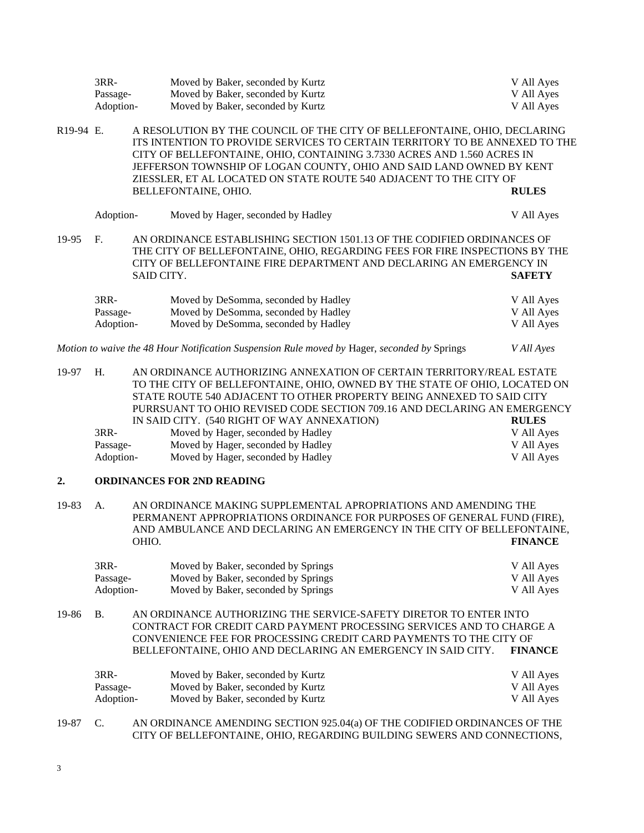|                        | $3RR-$                          |            | Moved by Baker, seconded by Kurtz                                                                                                                                                                                                                                                                                                                                                 | V All Ayes                             |
|------------------------|---------------------------------|------------|-----------------------------------------------------------------------------------------------------------------------------------------------------------------------------------------------------------------------------------------------------------------------------------------------------------------------------------------------------------------------------------|----------------------------------------|
|                        | Passage-                        |            | Moved by Baker, seconded by Kurtz                                                                                                                                                                                                                                                                                                                                                 | V All Ayes                             |
|                        | Adoption-                       |            | Moved by Baker, seconded by Kurtz                                                                                                                                                                                                                                                                                                                                                 | V All Ayes                             |
| R <sub>19</sub> -94 E. |                                 |            | A RESOLUTION BY THE COUNCIL OF THE CITY OF BELLEFONTAINE, OHIO, DECLARING<br>ITS INTENTION TO PROVIDE SERVICES TO CERTAIN TERRITORY TO BE ANNEXED TO THE<br>CITY OF BELLEFONTAINE, OHIO, CONTAINING 3.7330 ACRES AND 1.560 ACRES IN<br>JEFFERSON TOWNSHIP OF LOGAN COUNTY, OHIO AND SAID LAND OWNED BY KENT<br>ZIESSLER, ET AL LOCATED ON STATE ROUTE 540 ADJACENT TO THE CITY OF |                                        |
|                        |                                 |            | BELLEFONTAINE, OHIO.                                                                                                                                                                                                                                                                                                                                                              | <b>RULES</b>                           |
|                        | Adoption-                       |            | Moved by Hager, seconded by Hadley                                                                                                                                                                                                                                                                                                                                                | V All Ayes                             |
| 19-95                  | $F_{\cdot}$                     | SAID CITY. | AN ORDINANCE ESTABLISHING SECTION 1501.13 OF THE CODIFIED ORDINANCES OF<br>THE CITY OF BELLEFONTAINE, OHIO, REGARDING FEES FOR FIRE INSPECTIONS BY THE<br>CITY OF BELLEFONTAINE FIRE DEPARTMENT AND DECLARING AN EMERGENCY IN                                                                                                                                                     | <b>SAFETY</b>                          |
|                        | $3RR-$<br>Passage-<br>Adoption- |            | Moved by DeSomma, seconded by Hadley<br>Moved by DeSomma, seconded by Hadley<br>Moved by DeSomma, seconded by Hadley                                                                                                                                                                                                                                                              | V All Ayes<br>V All Ayes<br>V All Ayes |
|                        |                                 |            | Motion to waive the 48 Hour Notification Suspension Rule moved by Hager, seconded by Springs                                                                                                                                                                                                                                                                                      | V All Ayes                             |
|                        |                                 |            |                                                                                                                                                                                                                                                                                                                                                                                   |                                        |

19-97 H. AN ORDINANCE AUTHORIZING ANNEXATION OF CERTAIN TERRITORY/REAL ESTATE TO THE CITY OF BELLEFONTAINE, OHIO, OWNED BY THE STATE OF OHIO, LOCATED ON STATE ROUTE 540 ADJACENT TO OTHER PROPERTY BEING ANNEXED TO SAID CITY PURRSUANT TO OHIO REVISED CODE SECTION 709.16 AND DECLARING AN EMERGENCY IN SAID CITY. (540 RIGHT OF WAY ANNEXATION) **RULES** 3RR- Moved by Hager, seconded by Hadley V All Ayes Passage- Moved by Hager, seconded by Hadley V All Ayes Adoption-<br>
Moved by Hager, seconded by Hadley V All Ayes

#### **2. ORDINANCES FOR 2ND READING**

19-83 A. AN ORDINANCE MAKING SUPPLEMENTAL APROPRIATIONS AND AMENDING THE PERMANENT APPROPRIATIONS ORDINANCE FOR PURPOSES OF GENERAL FUND (FIRE), AND AMBULANCE AND DECLARING AN EMERGENCY IN THE CITY OF BELLEFONTAINE, OHIO. **FINANCE**

| 3RR-      | Moved by Baker, seconded by Springs | V All Ayes |
|-----------|-------------------------------------|------------|
| Passage-  | Moved by Baker, seconded by Springs | V All Ayes |
| Adoption- | Moved by Baker, seconded by Springs | V All Ayes |

19-86 B. AN ORDINANCE AUTHORIZING THE SERVICE-SAFETY DIRETOR TO ENTER INTO CONTRACT FOR CREDIT CARD PAYMENT PROCESSING SERVICES AND TO CHARGE A CONVENIENCE FEE FOR PROCESSING CREDIT CARD PAYMENTS TO THE CITY OF BELLEFONTAINE, OHIO AND DECLARING AN EMERGENCY IN SAID CITY. **FINANCE**

| 3RR-      | Moved by Baker, seconded by Kurtz | V All Ayes |
|-----------|-----------------------------------|------------|
| Passage-  | Moved by Baker, seconded by Kurtz | V All Ayes |
| Adoption- | Moved by Baker, seconded by Kurtz | V All Ayes |

19-87 C. AN ORDINANCE AMENDING SECTION 925.04(a) OF THE CODIFIED ORDINANCES OF THE CITY OF BELLEFONTAINE, OHIO, REGARDING BUILDING SEWERS AND CONNECTIONS,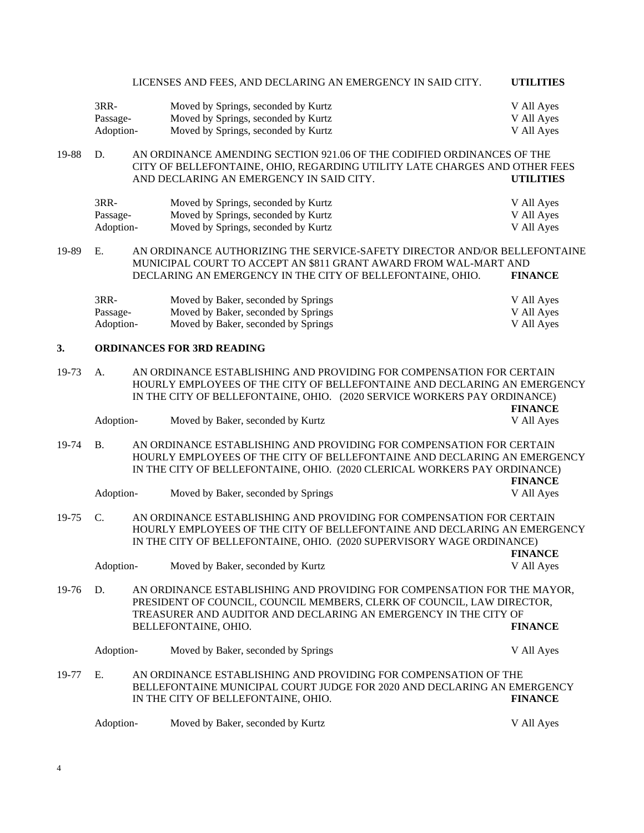|       |                                                                          |  | LICENSES AND FEES, AND DECLARING AN EMERGENCY IN SAID CITY.                                                                                          | <b>UTILITIES</b> |
|-------|--------------------------------------------------------------------------|--|------------------------------------------------------------------------------------------------------------------------------------------------------|------------------|
|       | 3RR-                                                                     |  | Moved by Springs, seconded by Kurtz                                                                                                                  | V All Ayes       |
|       | Passage-                                                                 |  | Moved by Springs, seconded by Kurtz                                                                                                                  | V All Ayes       |
|       | Adoption-                                                                |  | Moved by Springs, seconded by Kurtz                                                                                                                  | V All Ayes       |
|       |                                                                          |  |                                                                                                                                                      |                  |
| 19-88 | D.                                                                       |  | AN ORDINANCE AMENDING SECTION 921.06 OF THE CODIFIED ORDINANCES OF THE<br>CITY OF BELLEFONTAINE, OHIO, REGARDING UTILITY LATE CHARGES AND OTHER FEES |                  |
|       |                                                                          |  | AND DECLARING AN EMERGENCY IN SAID CITY.                                                                                                             | <b>UTILITIES</b> |
|       | 3RR-                                                                     |  | Moved by Springs, seconded by Kurtz                                                                                                                  | V All Ayes       |
|       | Passage-                                                                 |  | Moved by Springs, seconded by Kurtz                                                                                                                  | V All Ayes       |
|       | Adoption-                                                                |  | Moved by Springs, seconded by Kurtz                                                                                                                  | V All Ayes       |
|       |                                                                          |  |                                                                                                                                                      |                  |
| 19-89 | Ε.                                                                       |  | AN ORDINANCE AUTHORIZING THE SERVICE-SAFETY DIRECTOR AND/OR BELLEFONTAINE<br>MUNICIPAL COURT TO ACCEPT AN \$811 GRANT AWARD FROM WAL-MART AND        |                  |
|       |                                                                          |  | DECLARING AN EMERGENCY IN THE CITY OF BELLEFONTAINE, OHIO.                                                                                           | <b>FINANCE</b>   |
|       |                                                                          |  |                                                                                                                                                      |                  |
|       | 3RR-                                                                     |  | Moved by Baker, seconded by Springs                                                                                                                  | V All Ayes       |
|       | Passage-                                                                 |  | Moved by Baker, seconded by Springs                                                                                                                  | V All Ayes       |
|       | Adoption-                                                                |  | Moved by Baker, seconded by Springs                                                                                                                  | V All Ayes       |
|       |                                                                          |  |                                                                                                                                                      |                  |
| 3.    |                                                                          |  | <b>ORDINANCES FOR 3RD READING</b>                                                                                                                    |                  |
| 19-73 | A.                                                                       |  | AN ORDINANCE ESTABLISHING AND PROVIDING FOR COMPENSATION FOR CERTAIN                                                                                 |                  |
|       | HOURLY EMPLOYEES OF THE CITY OF BELLEFONTAINE AND DECLARING AN EMERGENCY |  |                                                                                                                                                      |                  |
|       |                                                                          |  | IN THE CITY OF BELLEFONTAINE, OHIO. (2020 SERVICE WORKERS PAY ORDINANCE)                                                                             |                  |
|       |                                                                          |  |                                                                                                                                                      | <b>FINANCE</b>   |
|       | Adoption-                                                                |  | Moved by Baker, seconded by Kurtz                                                                                                                    | V All Ayes       |
| 19-74 | <b>B.</b>                                                                |  | AN ORDINANCE ESTABLISHING AND PROVIDING FOR COMPENSATION FOR CERTAIN                                                                                 |                  |
|       |                                                                          |  | HOURLY EMPLOYEES OF THE CITY OF BELLEFONTAINE AND DECLARING AN EMERGENCY                                                                             |                  |
|       |                                                                          |  | IN THE CITY OF BELLEFONTAINE, OHIO. (2020 CLERICAL WORKERS PAY ORDINANCE)                                                                            |                  |
|       |                                                                          |  |                                                                                                                                                      | <b>FINANCE</b>   |
|       | Adoption-                                                                |  | Moved by Baker, seconded by Springs                                                                                                                  | V All Ayes       |
|       |                                                                          |  |                                                                                                                                                      |                  |
| 19-75 | C.                                                                       |  | AN ORDINANCE ESTABLISHING AND PROVIDING FOR COMPENSATION FOR CERTAIN                                                                                 |                  |
|       |                                                                          |  | HOURLY EMPLOYEES OF THE CITY OF BELLEFONTAINE AND DECLARING AN EMERGENCY                                                                             |                  |
|       |                                                                          |  | IN THE CITY OF BELLEFONTAINE, OHIO. (2020 SUPERVISORY WAGE ORDINANCE)                                                                                |                  |
|       |                                                                          |  |                                                                                                                                                      | <b>FINANCE</b>   |
|       | Adoption-                                                                |  | Moved by Baker, seconded by Kurtz                                                                                                                    | V All Ayes       |
|       |                                                                          |  |                                                                                                                                                      |                  |
| 19-76 | D.                                                                       |  | AN ORDINANCE ESTABLISHING AND PROVIDING FOR COMPENSATION FOR THE MAYOR,                                                                              |                  |
|       |                                                                          |  | PRESIDENT OF COUNCIL, COUNCIL MEMBERS, CLERK OF COUNCIL, LAW DIRECTOR,                                                                               |                  |
|       |                                                                          |  | TREASURER AND AUDITOR AND DECLARING AN EMERGENCY IN THE CITY OF                                                                                      |                  |
|       |                                                                          |  | BELLEFONTAINE, OHIO.                                                                                                                                 | <b>FINANCE</b>   |
|       |                                                                          |  |                                                                                                                                                      |                  |
|       | Adoption-                                                                |  | Moved by Baker, seconded by Springs                                                                                                                  | V All Ayes       |
|       |                                                                          |  |                                                                                                                                                      |                  |
| 19-77 | E.                                                                       |  | AN ORDINANCE ESTABLISHING AND PROVIDING FOR COMPENSATION OF THE                                                                                      |                  |
|       |                                                                          |  | BELLEFONTAINE MUNICIPAL COURT JUDGE FOR 2020 AND DECLARING AN EMERGENCY                                                                              |                  |
|       |                                                                          |  | IN THE CITY OF BELLEFONTAINE, OHIO.                                                                                                                  | <b>FINANCE</b>   |
|       |                                                                          |  |                                                                                                                                                      |                  |
|       | Adoption-                                                                |  | Moved by Baker, seconded by Kurtz                                                                                                                    | V All Ayes       |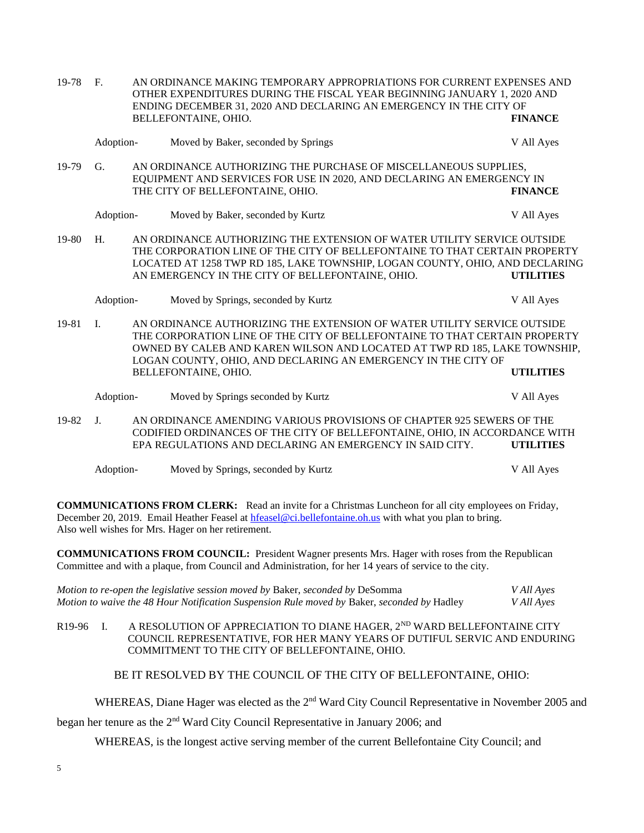| 19-78 | $F_{\cdot}$<br>AN ORDINANCE MAKING TEMPORARY APPROPRIATIONS FOR CURRENT EXPENSES AND<br>OTHER EXPENDITURES DURING THE FISCAL YEAR BEGINNING JANUARY 1, 2020 AND<br>ENDING DECEMBER 31, 2020 AND DECLARING AN EMERGENCY IN THE CITY OF<br>BELLEFONTAINE, OHIO.<br><b>FINANCE</b> |  |                                                                                                                                                                                                                                                                                                                             |                  |
|-------|---------------------------------------------------------------------------------------------------------------------------------------------------------------------------------------------------------------------------------------------------------------------------------|--|-----------------------------------------------------------------------------------------------------------------------------------------------------------------------------------------------------------------------------------------------------------------------------------------------------------------------------|------------------|
|       | Adoption-                                                                                                                                                                                                                                                                       |  | Moved by Baker, seconded by Springs                                                                                                                                                                                                                                                                                         | V All Ayes       |
| 19-79 | G.                                                                                                                                                                                                                                                                              |  | AN ORDINANCE AUTHORIZING THE PURCHASE OF MISCELLANEOUS SUPPLIES,<br>EQUIPMENT AND SERVICES FOR USE IN 2020, AND DECLARING AN EMERGENCY IN<br>THE CITY OF BELLEFONTAINE, OHIO.                                                                                                                                               | <b>FINANCE</b>   |
|       | Adoption-                                                                                                                                                                                                                                                                       |  | Moved by Baker, seconded by Kurtz                                                                                                                                                                                                                                                                                           | V All Ayes       |
| 19-80 | H.                                                                                                                                                                                                                                                                              |  | AN ORDINANCE AUTHORIZING THE EXTENSION OF WATER UTILITY SERVICE OUTSIDE<br>THE CORPORATION LINE OF THE CITY OF BELLEFONTAINE TO THAT CERTAIN PROPERTY<br>LOCATED AT 1258 TWP RD 185, LAKE TOWNSHIP, LOGAN COUNTY, OHIO, AND DECLARING<br>AN EMERGENCY IN THE CITY OF BELLEFONTAINE, OHIO.                                   | <b>UTILITIES</b> |
|       | Adoption-                                                                                                                                                                                                                                                                       |  | Moved by Springs, seconded by Kurtz                                                                                                                                                                                                                                                                                         | V All Ayes       |
| 19-81 | $\mathbf{I}$ .                                                                                                                                                                                                                                                                  |  | AN ORDINANCE AUTHORIZING THE EXTENSION OF WATER UTILITY SERVICE OUTSIDE<br>THE CORPORATION LINE OF THE CITY OF BELLEFONTAINE TO THAT CERTAIN PROPERTY<br>OWNED BY CALEB AND KAREN WILSON AND LOCATED AT TWP RD 185, LAKE TOWNSHIP,<br>LOGAN COUNTY, OHIO, AND DECLARING AN EMERGENCY IN THE CITY OF<br>BELLEFONTAINE, OHIO. | <b>UTILITIES</b> |
|       | Adoption-                                                                                                                                                                                                                                                                       |  | Moved by Springs seconded by Kurtz                                                                                                                                                                                                                                                                                          | V All Ayes       |
| 19-82 | J <sub>r</sub>                                                                                                                                                                                                                                                                  |  | AN ORDINANCE AMENDING VARIOUS PROVISIONS OF CHAPTER 925 SEWERS OF THE<br>CODIFIED ORDINANCES OF THE CITY OF BELLEFONTAINE, OHIO, IN ACCORDANCE WITH<br>EPA REGULATIONS AND DECLARING AN EMERGENCY IN SAID CITY.                                                                                                             | <b>UTILITIES</b> |
|       | Adoption-                                                                                                                                                                                                                                                                       |  | Moved by Springs, seconded by Kurtz                                                                                                                                                                                                                                                                                         | V All Ayes       |

**COMMUNICATIONS FROM CLERK:** Read an invite for a Christmas Luncheon for all city employees on Friday, December 20, 2019. Email Heather Feasel at [hfeasel@ci.bellefontaine.oh.us](mailto:hfeasel@ci.bellefontaine.oh.us) with what you plan to bring. Also well wishes for Mrs. Hager on her retirement.

**COMMUNICATIONS FROM COUNCIL:** President Wagner presents Mrs. Hager with roses from the Republican Committee and with a plaque, from Council and Administration, for her 14 years of service to the city.

| Motion to re-open the legislative session moved by Baker, seconded by DeSomma               | V All Ayes |
|---------------------------------------------------------------------------------------------|------------|
| Motion to waive the 48 Hour Notification Suspension Rule moved by Baker, seconded by Hadley | V All Ayes |

R19-96 I. A RESOLUTION OF APPRECIATION TO DIANE HAGER,  $2^{ND}$  WARD BELLEFONTAINE CITY COUNCIL REPRESENTATIVE, FOR HER MANY YEARS OF DUTIFUL SERVIC AND ENDURING COMMITMENT TO THE CITY OF BELLEFONTAINE, OHIO.

BE IT RESOLVED BY THE COUNCIL OF THE CITY OF BELLEFONTAINE, OHIO:

WHEREAS, Diane Hager was elected as the 2<sup>nd</sup> Ward City Council Representative in November 2005 and

began her tenure as the 2nd Ward City Council Representative in January 2006; and

WHEREAS, is the longest active serving member of the current Bellefontaine City Council; and